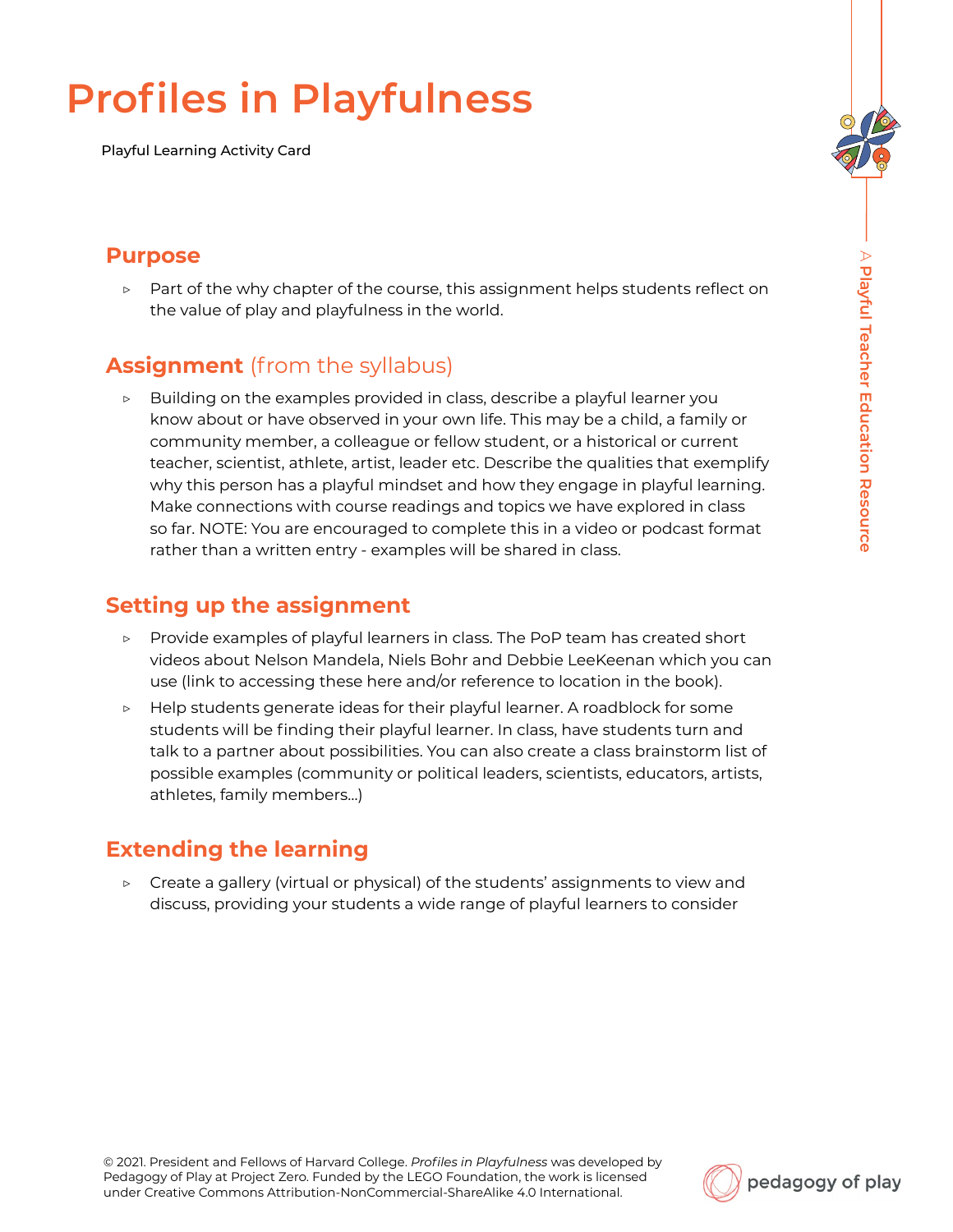# **Profiles in Playfulness**

Playful Learning Activity Card

#### **Purpose**

▷ Part of the why chapter of the course, this assignment helps students reflect on the value of play and playfulness in the world.

## **Assignment** (from the syllabus)

Building on the examples provided in class, describe a playful learner you know about or have observed in your own life. This may be a child, a family or community member, a colleague or fellow student, or a historical or current teacher, scientist, athlete, artist, leader etc. Describe the qualities that exemplify why this person has a playful mindset and how they engage in playful learning. Make connections with course readings and topics we have explored in class so far. NOTE: You are encouraged to complete this in a video or podcast format rather than a written entry - examples will be shared in class.

### **Setting up the assignment**

- ▷ Provide examples of playful learners in class. The PoP team has created short videos about Nelson Mandela, Niels Bohr and Debbie LeeKeenan which you can use (link to accessing these here and/or reference to location in the book).
- Help students generate ideas for their playful learner. A roadblock for some students will be finding their playful learner. In class, have students turn and talk to a partner about possibilities. You can also create a class brainstorm list of possible examples (community or political leaders, scientists, educators, artists, athletes, family members…)

## **Extending the learning**

▷ Create a gallery (virtual or physical) of the students' assignments to view and discuss, providing your students a wide range of playful learners to consider